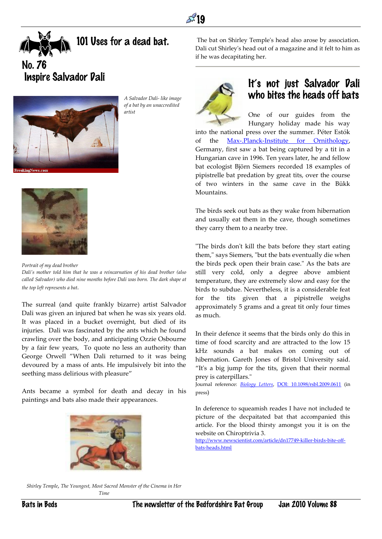

101 Uses for a dead bat.

No. 76 Inspire Salvador Dali



*A Salvador Dali- like image of a bat by an unaccredited artist*



*Portrait of my dead brother Dali's mother told him that he was a reincarnation of his dead brother (also called Salvador) who died nine months before Dali was born. The dark shape at the top left represents a bat.*

The surreal (and quite frankly bizarre) artist Salvador Dali was given an injured bat when he was six years old. It was placed in a bucket overnight, but died of its injuries. Dali was fascinated by the ants which he found crawling over the body, and anticipating Ozzie Osbourne by a fair few years, To quote no less an authority than George Orwell "When Dali returned to it was being devoured by a mass of ants. He impulsively bit into the seething mass delirious with pleasure"

Ants became a symbol for death and decay in his paintings and bats also made their appearances.



The bat on Shirley Temple's head also arose by association. Dali cut Shirley's head out of a magazine and it felt to him as if he was decapitating her.



## It's not just Salvador Dali who bites the heads off bats

One of our guides from the Hungary holiday made his way

into the national press over the summer. Péter Estók of the [Max-.Planck-Institute for Ornithology,](http://www.orn.mpg.de/) Germany, first saw a bat being captured by a tit in a Hungarian cave in 1996. Ten years later, he and fellow bat ecologist [Björn Siemers](http://www.orn.mpg.de/nwg/pubs_siemers.html) recorded 18 examples of [pipistrelle bat](http://www.arkive.org/pipistrelle-bats/pipistrellus-pipistrellus-and-pipistrellus-pygmaeus/) predation by great tits, over the course of two winters in the same cave in the Bükk Mountains.

The birds seek out bats as they wake from hibernation and usually eat them in the cave, though sometimes they carry them to a nearby tree.

"The birds don't kill the bats before they start eating them," says Siemers, "but the bats eventually die when the birds peck open their brain case." As the bats are still very cold, only a degree above ambient temperature, they are extremely slow and easy for the birds to subdue. Nevertheless, it is a considerable feat for the tits given that a pipistrelle weighs approximately 5 grams and a great tit only four times as much.

In their defence it seems that the birds only do this in time of food scarcity and are attracted to the low 15 kHz sounds a bat makes on coming out of hibernation. Gareth Jones of Bristol University said. "It's a big jump for the tits, given that their normal prey is caterpillars."

Journal reference: *[Biology Letters](http://rsbl.royalsocietypublishing.org/)*, [DOI: 10.1098/rsbl.2009.0611](http://dx.doi.org/10.1098/rsbl.2009.0611) (in press)

In deference to squeamish reades I have not included te picture of the decpaitated bat that accompanied this article. For the blood thirsty amongst you it is on the website on Chiroptrivia 3.

[http://www.newscientist.com/article/dn17749-killer-birds-bite-off](http://www.newscientist.com/article/dn17749-killer-birds-bite-off-bats-heads.html)[bats-heads.html](http://www.newscientist.com/article/dn17749-killer-birds-bite-off-bats-heads.html)

*Shirley Temple, The Youngest, Most Sacred Monster of the Cinema in Her Time*